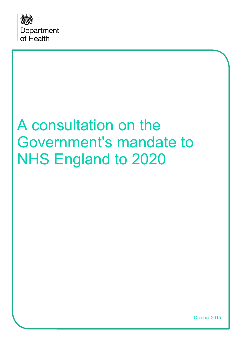

# A consultation on the Government's mandate to NHS England to 2020

October 2015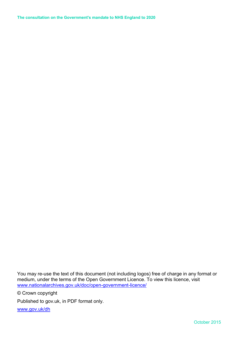**The consultation on the Government's mandate to NHS England to 2020** 

You may re-use the text of this document (not including logos) free of charge in any format or medium, under the terms of the Open Government Licence. To view this licence, visit [www.nationalarchives.gov.uk/doc/open-government-licence/](http://www.nationalarchives.gov.uk/doc/open-government-licence/)

© Crown copyright

Published to gov.uk, in PDF format only.

[www.gov.uk/dh](http://www.gov.uk/dh)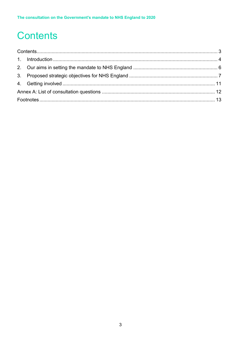## <span id="page-2-0"></span>**Contents**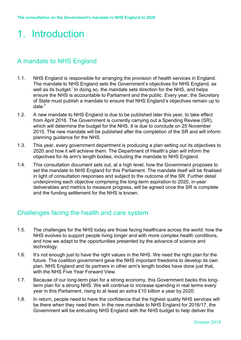### <span id="page-3-0"></span>1. Introduction

#### A mandate to NHS England

- 1.1. NHS England is responsible for arranging the provision of health services in England. The mandate to NHS England sets the Government's objectives for NHS England, as well as its budget.<sup>i</sup> In doing so, the mandate sets direction for the NHS, and helps ensure the NHS is accountable to Parliament and the public. Every year, the Secretary of State must publish a mandate to ensure that NHS England's objectives remain up to date.<sup>ii</sup>
- 1.2. A new mandate to NHS England is due to be published later this year, to take effect from April 2016. The Government is currently carrying out a Spending Review (SR), which will determine the budget for the NHS. It is due to conclude on 25 November 2015. The new mandate will be published after the completion of the SR and will inform planning guidance for the NHS.
- 1.3. This year, every government department is producing a plan setting out its objectives to 2020 and how it will achieve them. The Department of Health's plan will inform the objectives for its arm's length bodies, including the mandate to NHS England.
- 1.4. This consultation document sets out, at a high level, how the Government proposes to set the mandate to NHS England for this Parliament. The mandate itself will be finalised in light of consultation responses and subject to the outcome of the SR. Further detail underpinning each objective comprising the long-term aspiration to 2020, in-year deliverables and metrics to measure progress, will be agreed once the SR is complete and the funding settlement for the NHS is known.

#### Challenges facing the health and care system

- 1.5. The challenges for the NHS today are those facing healthcare across the world: how the NHS evolves to support people living longer and with more complex health conditions, and how we adapt to the opportunities presented by the advance of science and technology.
- 1.6. It's not enough just to have the right values in the NHS. We need the right plan for the future. The coalition government gave the NHS important freedoms to develop its own plan. NHS England and its partners in other arm's length bodies have done just that, with the NHS Five Year Forward View.
- 1.7. Because of our long-term plan for a strong economy, this Government backs this longterm plan for a strong NHS. We will continue to increase spending in real terms every year in this Parliament, rising to at least an extra £10 billion a year by 2020.
- 1.8. In return, people need to have the confidence that the highest quality NHS services will be there when they need them. In the new mandate to NHS England for 2016/17, the Government will be entrusting NHS England with the NHS budget to help deliver the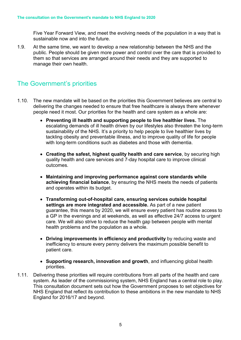Five Year Forward View, and meet the evolving needs of the population in a way that is sustainable now and into the future.

1.9. At the same time, we want to develop a new relationship between the NHS and the public. People should be given more power and control over the care that is provided to them so that services are arranged around their needs and they are supported to manage their own health.

### The Government's priorities

- 1.10. The new mandate will be based on the priorities this Government believes are central to delivering the changes needed to ensure that free healthcare is always there whenever people need it most. Our priorities for the health and care system as a whole are:
	- **Preventing ill health and supporting people to live healthier lives.** The escalating demands of ill health driven by our lifestyles also threaten the long-term sustainability of the NHS. It's a priority to help people to live healthier lives by tackling obesity and preventable illness, and to improve quality of life for people with long-term conditions such as diabetes and those with dementia.
	- **Creating the safest, highest quality health and care service**, by securing high quality health and care services and 7-day hospital care to improve clinical outcomes.
	- **Maintaining and improving performance against core standards while achieving financial balance**, by ensuring the NHS meets the needs of patients and operates within its budget.
	- **Transforming out-of-hospital care, ensuring services outside hospital settings are more integrated and accessible.** As part of a new patient guarantee, this means by 2020, we will ensure every patient has routine access to a GP in the evenings and at weekends, as well as effective 24/7 access to urgent care. We will also strive to reduce the health gap between people with mental health problems and the population as a whole.
	- **Driving improvements in efficiency and productivity** by reducing waste and inefficiency to ensure every penny delivers the maximum possible benefit to patient care.
	- **Supporting research, innovation and growth**, and influencing global health priorities.
- 1.11. Delivering these priorities will require contributions from all parts of the health and care system. As leader of the commissioning system, NHS England has a central role to play. This consultation document sets out how the Government proposes to set objectives for NHS England that reflect its contribution to these ambitions in the new mandate to NHS England for 2016/17 and beyond.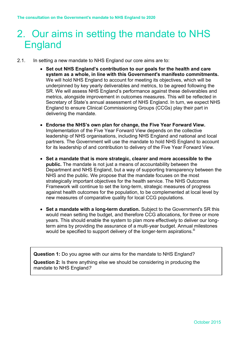### <span id="page-5-0"></span>2. Our aims in setting the mandate to NHS England

- 2.1. In setting a new mandate to NHS England our core aims are to:
	- **Set out NHS England's contribution to our goals for the health and care system as a whole, in line with this Government's manifesto commitments.** We will hold NHS England to account for meeting its objectives, which will be underpinned by key yearly deliverables and metrics, to be agreed following the SR. We will assess NHS England's performance against these deliverables and metrics, alongside improvement in outcomes measures. This will be reflected in Secretary of State's annual assessment of NHS England. In turn, we expect NHS England to ensure Clinical Commissioning Groups (CCGs) play their part in delivering the mandate.
	- **Endorse the NHS's own plan for change, the Five Year Forward View.** Implementation of the Five Year Forward View depends on the collective leadership of NHS organisations, including NHS England and national and local partners. The Government will use the mandate to hold NHS England to account for its leadership of and contribution to delivery of the Five Year Forward View.
	- **Set a mandate that is more strategic, clearer and more accessible to the public.** The mandate is not just a means of accountability between the Department and NHS England, but a way of supporting transparency between the NHS and the public. We propose that the mandate focuses on the most strategically important objectives for the health service. The NHS Outcomes Framework will continue to set the long-term, strategic measures of progress against health outcomes for the population, to be complemented at local level by new measures of comparative quality for local CCG populations.
	- **Set a mandate with a long-term duration.** Subject to the Government's SR this would mean setting the budget, and therefore CCG allocations, for three or more years. This should enable the system to plan more effectively to deliver our longterm aims by providing the assurance of a multi-year budget. Annual milestones would be specified to support delivery of the longer-term aspirations.<sup>iii</sup>

**Question 1:** Do you agree with our aims for the mandate to NHS England?

**Question 2:** Is there anything else we should be considering in producing the mandate to NHS England*?*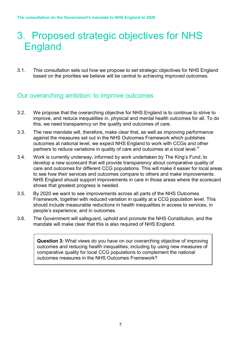### <span id="page-6-0"></span>3. Proposed strategic objectives for NHS England

3.1. This consultation sets out how we propose to set strategic objectives for NHS England based on the priorities we believe will be central to achieving improved outcomes.

#### Our overarching ambition: to improve outcomes

- 3.2. We propose that the overarching objective for NHS England is to continue to strive to improve, and reduce inequalities in, physical and mental health outcomes for all. To do this, we need transparency on the quality and outcomes of care.
- 3.3. The new mandate will, therefore, make clear that, as well as improving performance against the measures set out in the NHS Outcomes Framework which publishes outcomes at national level, we expect NHS England to work with CCGs and other partners to reduce variations in quality of care and outcomes at a local level.<sup>iv</sup>
- 3.4. Work is currently underway, informed by work undertaken by The King's Fund, to develop a new scorecard that will provide transparency about comparative quality of care and outcomes for different CCG populations. This will make it easier for local areas to see how their services and outcomes compare to others and make improvements. NHS England should support improvements in care in those areas where the scorecard shows that greatest progress is needed.
- 3.5. By 2020 we want to see improvements across all parts of the NHS Outcomes Framework, together with reduced variation in quality at a CCG population level. This should include measurable reductions in health inequalities in access to services, in people's experience, and in outcomes.
- 3.6. The Government will safeguard, uphold and promote the NHS Constitution, and the mandate will make clear that this is also required of NHS England.

**Question 3:** What views do you have on our overarching objective of improving outcomes and reducing health inequalities, including by using new measures of comparative quality for local CCG populations to complement the national outcomes measures in the NHS Outcomes Framework?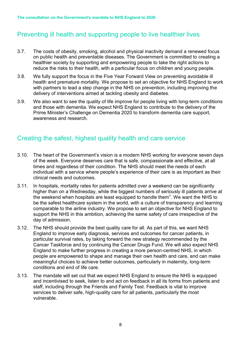#### Preventing ill health and supporting people to live healthier lives

- 3.7. The costs of obesity, smoking, alcohol and physical inactivity demand a renewed focus on public health and preventable diseases. The Government is committed to creating a healthier society by supporting and empowering people to take the right actions to reduce the risks to their health, with a particular focus on children and young people.
- 3.8. We fully support the focus in the Five Year Forward View on preventing avoidable ill health and premature mortality. We propose to set an objective for NHS England to work with partners to lead a step change in the NHS on prevention, including improving the delivery of interventions aimed at tackling obesity and diabetes.
- 3.9. We also want to see the quality of life improve for people living with long-term conditions and those with dementia. We expect NHS England to contribute to the delivery of the Prime Minister's Challenge on Dementia 2020 to transform dementia care support, awareness and research.

#### Creating the safest, highest quality health and care service

- 3.10. The heart of the Government's vision is a modern NHS working for everyone seven days of the week. Everyone deserves care that is safe, compassionate and effective, at all times and regardless of their condition. The NHS should meet the needs of each individual with a service where people's experience of their care is as important as their clinical needs and outcomes.
- 3.11. In hospitals, mortality rates for patients admitted over a weekend can be significantly higher than on a Wednesday, while the biggest numbers of seriously ill patients arrive at the weekend when hospitals are least equipped to handle them<sup>v</sup>. We want the NHS to be the safest healthcare system in the world, with a culture of transparency and learning comparable to the airline industry. We propose to set an objective for NHS England to support the NHS in this ambition, achieving the same safety of care irrespective of the day of admission.
- 3.12. The NHS should provide the best quality care for all. As part of this, we want NHS England to improve early diagnosis, services and outcomes for cancer patients, in particular survival rates, by taking forward the new strategy recommended by the Cancer Taskforce and by continuing the Cancer Drugs Fund. We will also expect NHS England to make further progress in creating a more person-centred NHS, in which people are empowered to shape and manage their own health and care, and can make meaningful choices to achieve better outcomes, particularly in maternity, long-term conditions and end of life care.
- 3.13. The mandate will set out that we expect NHS England to ensure the NHS is equipped and incentivised to seek, listen to and act on feedback in all its forms from patients and staff, including through the Friends and Family Test. Feedback is vital to improve services to deliver safe, high-quality care for all patients, particularly the most vulnerable.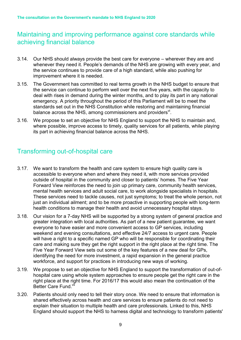#### Maintaining and improving performance against core standards while achieving financial balance

- 3.14. Our NHS should always provide the best care for everyone wherever they are and whenever they need it. People's demands of the NHS are growing with every year, and the service continues to provide care of a high standard, while also pushing for improvement where it is needed.
- 3.15. The Government has committed to real terms growth in the NHS budget to ensure that the service can continue to perform well over the next five years, with the capacity to deal with rises in demand during the winter months, and to play its part in any national emergency. A priority throughout the period of this Parliament will be to meet the standards set out in the NHS Constitution while restoring and maintaining financial balance across the NHS, among commissioners and providers<sup>vi</sup>.
- 3.16. We propose to set an objective for NHS England to support the NHS to maintain and, where possible, improve access to timely, quality services for all patients, while playing its part in achieving financial balance across the NHS.

#### Transforming out-of-hospital care

- 3.17. We want to transform the health and care system to ensure high quality care is accessible to everyone when and where they need it, with more services provided outside of hospital in the community and closer to patients' homes. The Five Year Forward View reinforces the need to join up primary care, community health services, mental health services and adult social care, to work alongside specialists in hospitals. These services need to tackle causes, not just symptoms; to treat the whole person, not just an individual ailment; and to be more proactive in supporting people with long-term health conditions to manage their health and avoid unnecessary hospital stays.
- 3.18. Our vision for a 7-day NHS will be supported by a strong system of general practice and greater integration with local authorities. As part of a new patient guarantee, we want everyone to have easier and more convenient access to GP services, including weekend and evening consultations, and effective 24/7 access to urgent care. People will have a right to a specific named GP who will be responsible for coordinating their care and making sure they get the right support in the right place at the right time. The Five Year Forward View sets out some of the key features of a new deal for GPs, identifying the need for more investment, a rapid expansion in the general practice workforce, and support for practices in introducing new ways of working.
- 3.19. We propose to set an objective for NHS England to support the transformation of out-ofhospital care using whole system approaches to ensure people get the right care in the right place at the right time. For 2016/17 this would also mean the continuation of the Better Care Fund.<sup>vii</sup>
- 3.20. Patients should only need to tell their story once. We need to ensure that information is shared effectively across health and care services to ensure patients do not need to explain their situation to multiple health and care professionals. Linked to this, NHS England should support the NHS to harness digital and technology to transform patients'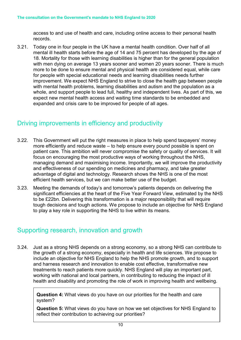access to and use of health and care, including online access to their personal health records.

3.21. Today one in four people in the UK have a mental health condition. Over half of all mental ill health starts before the age of 14 and 75 percent has developed by the age of 18. Mortality for those with learning disabilities is higher than for the general population with men dying on average 13 years sooner and women 20 years sooner. There is much more to be done to ensure mental and physical health are considered equal, while care for people with special educational needs and learning disabilities needs further improvement. We expect NHS England to strive to close the health gap between people with mental health problems, learning disabilities and autism and the population as a whole, and support people to lead full, healthy and independent lives. As part of this, we expect new mental health access and waiting time standards to be embedded and expanded and crisis care to be improved for people of all ages.

#### Driving improvements in efficiency and productivity

- 3.22. This Government will put the right measures in place to help spend taxpayers' money more efficiently and reduce waste – to help ensure every pound possible is spent on patient care. This ambition will never compromise the safety or quality of services. It will focus on encouraging the most productive ways of working throughout the NHS, managing demand and maximising income. Importantly, we will improve the productivity and effectiveness of our spending on medicines and pharmacy, and take greater advantage of digital and technology. Research shows the NHS is one of the most efficient health services, but we can make better use of the budget.
- 3.23. Meeting the demands of today's and tomorrow's patients depends on delivering the significant efficiencies at the heart of the Five Year Forward View, estimated by the NHS to be £22bn. Delivering this transformation is a major responsibility that will require tough decisions and tough actions. We propose to include an objective for NHS England to play a key role in supporting the NHS to live within its means.

#### Supporting research, innovation and growth

3.24. Just as a strong NHS depends on a strong economy, so a strong NHS can contribute to the growth of a strong economy, especially in health and life sciences. We propose to include an objective for NHS England to help the NHS promote growth, and to support and harness research and innovation to enable cost effective, transformative new treatments to reach patients more quickly. NHS England will play an important part, working with national and local partners, in contributing to reducing the impact of ill health and disability and promoting the role of work in improving health and wellbeing.

**Question 4:** What views do you have on our priorities for the health and care system?

**Question 5:** What views do you have on how we set objectives for NHS England to reflect their contribution to achieving our priorities?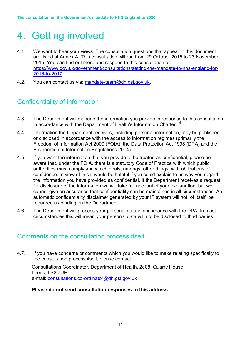### <span id="page-10-0"></span>4. Getting involved

- 4.1. We want to hear your views. The consultation questions that appear in this document are listed at Annex A. This consultation will run from 29 October 2015 to 23 November 2015. You can find out more and respond to this consultation at: [https://www.gov.uk/government/consultations/setting-the-mandate-to-nhs-england-for-](https://www.gov.uk/government/consultations/setting-the-mandate-to-nhs-england-for-2016-to-2017)[2016-to-2017.](https://www.gov.uk/government/consultations/setting-the-mandate-to-nhs-england-for-2016-to-2017)
- 4.2. You can contact us via: [mandate-team@dh.gsi.gov.uk.](mailto:mandate-team@dh.gsi.gov.uk)

#### Confidentiality of information

- 4.3. The Department will manage the information you provide in response to this consultation in accordance with the Department of Health's Information Charter. Vili
- 4.4. Information the Department receives, including personal information, may be published or disclosed in accordance with the access to information regimes (primarily the Freedom of Information Act 2000 (FOIA), the Data Protection Act 1998 (DPA) and the Environmental Information Regulations 2004).
- 4.5. If you want the information that you provide to be treated as confidential, please be aware that, under the FOIA, there is a statutory Code of Practice with which public authorities must comply and which deals, amongst other things, with obligations of confidence. In view of this it would be helpful if you could explain to us why you regard the information you have provided as confidential. If the Department receives a request for disclosure of the information we will take full account of your explanation, but we cannot give an assurance that confidentiality can be maintained in all circumstances. An automatic confidentiality disclaimer generated by your IT system will not, of itself, be regarded as binding on the Department.
- 4.6. The Department will process your personal data in accordance with the DPA. In most circumstances this will mean your personal data will not be disclosed to third parties.

#### Comments on the consultation process itself

4.7. If you have concerns or comments which you would like to make relating specifically to the consultation process itself, please contact:

Consultations Coordinator, Department of Health, 2e08, Quarry House, Leeds, LS2 7UE e-mail: [consultations.co-ordinator@dh.gsi.gov.uk](mailto:consultations.co-ordinator@dh.gsi.gov.uk) 

#### **Please do not send consultation responses to this address.**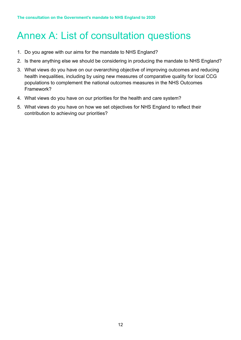## <span id="page-11-0"></span>Annex A: List of consultation questions

- 1. Do you agree with our aims for the mandate to NHS England?
- 2. Is there anything else we should be considering in producing the mandate to NHS England?
- 3. What views do you have on our overarching objective of improving outcomes and reducing health inequalities, including by using new measures of comparative quality for local CCG populations to complement the national outcomes measures in the NHS Outcomes Framework?
- 4. What views do you have on our priorities for the health and care system?
- 5. What views do you have on how we set objectives for NHS England to reflect their contribution to achieving our priorities?